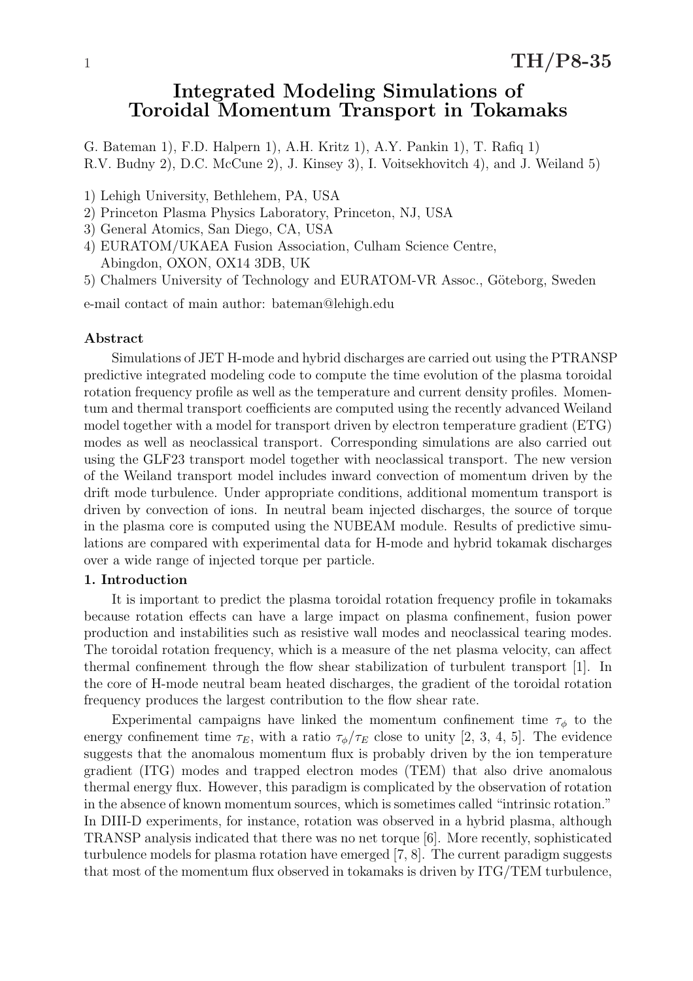# Integrated Modeling Simulations of Toroidal Momentum Transport in Tokamaks

G. Bateman 1), F.D. Halpern 1), A.H. Kritz 1), A.Y. Pankin 1), T. Rafiq 1) R.V. Budny 2), D.C. McCune 2), J. Kinsey 3), I. Voitsekhovitch 4), and J. Weiland 5)

- 1) Lehigh University, Bethlehem, PA, USA
- 2) Princeton Plasma Physics Laboratory, Princeton, NJ, USA
- 3) General Atomics, San Diego, CA, USA
- 4) EURATOM/UKAEA Fusion Association, Culham Science Centre, Abingdon, OXON, OX14 3DB, UK
- 5) Chalmers University of Technology and EURATOM-VR Assoc., Göteborg, Sweden

e-mail contact of main author: bateman@lehigh.edu

### Abstract

Simulations of JET H-mode and hybrid discharges are carried out using the PTRANSP predictive integrated modeling code to compute the time evolution of the plasma toroidal rotation frequency profile as well as the temperature and current density profiles. Momentum and thermal transport coefficients are computed using the recently advanced Weiland model together with a model for transport driven by electron temperature gradient (ETG) modes as well as neoclassical transport. Corresponding simulations are also carried out using the GLF23 transport model together with neoclassical transport. The new version of the Weiland transport model includes inward convection of momentum driven by the drift mode turbulence. Under appropriate conditions, additional momentum transport is driven by convection of ions. In neutral beam injected discharges, the source of torque in the plasma core is computed using the NUBEAM module. Results of predictive simulations are compared with experimental data for H-mode and hybrid tokamak discharges over a wide range of injected torque per particle.

### 1. Introduction

It is important to predict the plasma toroidal rotation frequency profile in tokamaks because rotation effects can have a large impact on plasma confinement, fusion power production and instabilities such as resistive wall modes and neoclassical tearing modes. The toroidal rotation frequency, which is a measure of the net plasma velocity, can affect thermal confinement through the flow shear stabilization of turbulent transport [1]. In the core of H-mode neutral beam heated discharges, the gradient of the toroidal rotation frequency produces the largest contribution to the flow shear rate.

Experimental campaigns have linked the momentum confinement time  $\tau_{\phi}$  to the energy confinement time  $\tau_E$ , with a ratio  $\tau_\phi/\tau_E$  close to unity [2, 3, 4, 5]. The evidence suggests that the anomalous momentum flux is probably driven by the ion temperature gradient (ITG) modes and trapped electron modes (TEM) that also drive anomalous thermal energy flux. However, this paradigm is complicated by the observation of rotation in the absence of known momentum sources, which is sometimes called "intrinsic rotation." In DIII-D experiments, for instance, rotation was observed in a hybrid plasma, although TRANSP analysis indicated that there was no net torque [6]. More recently, sophisticated turbulence models for plasma rotation have emerged [7, 8]. The current paradigm suggests that most of the momentum flux observed in tokamaks is driven by ITG/TEM turbulence,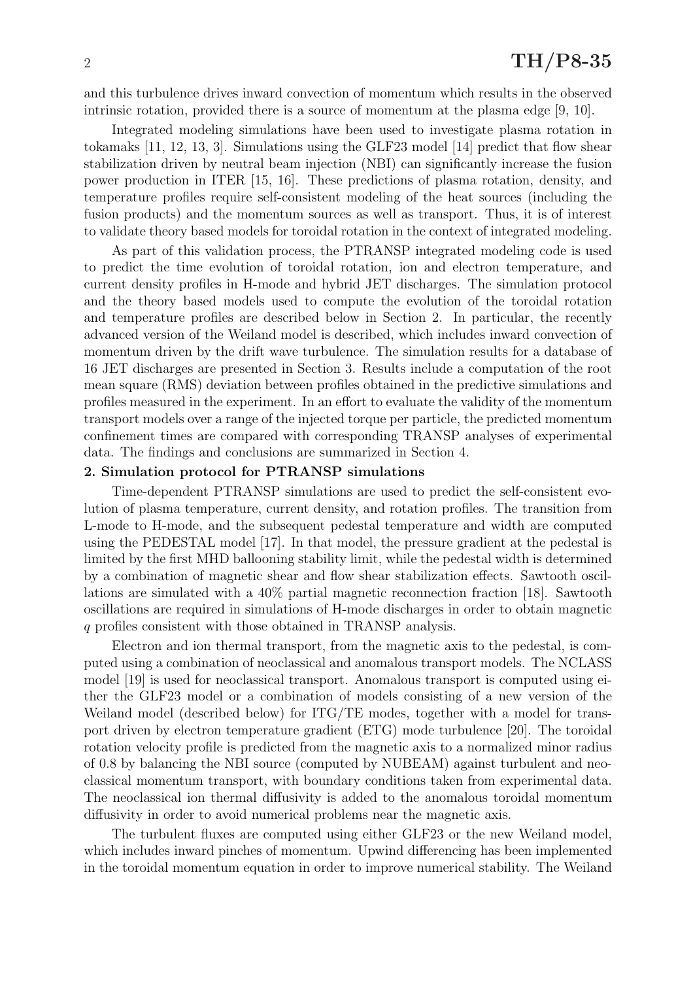and this turbulence drives inward convection of momentum which results in the observed intrinsic rotation, provided there is a source of momentum at the plasma edge [9, 10].

Integrated modeling simulations have been used to investigate plasma rotation in tokamaks [11, 12, 13, 3]. Simulations using the GLF23 model [14] predict that flow shear stabilization driven by neutral beam injection (NBI) can significantly increase the fusion power production in ITER [15, 16]. These predictions of plasma rotation, density, and temperature profiles require self-consistent modeling of the heat sources (including the fusion products) and the momentum sources as well as transport. Thus, it is of interest to validate theory based models for toroidal rotation in the context of integrated modeling.

As part of this validation process, the PTRANSP integrated modeling code is used to predict the time evolution of toroidal rotation, ion and electron temperature, and current density profiles in H-mode and hybrid JET discharges. The simulation protocol and the theory based models used to compute the evolution of the toroidal rotation and temperature profiles are described below in Section 2. In particular, the recently advanced version of the Weiland model is described, which includes inward convection of momentum driven by the drift wave turbulence. The simulation results for a database of 16 JET discharges are presented in Section 3. Results include a computation of the root mean square (RMS) deviation between profiles obtained in the predictive simulations and profiles measured in the experiment. In an effort to evaluate the validity of the momentum transport models over a range of the injected torque per particle, the predicted momentum confinement times are compared with corresponding TRANSP analyses of experimental data. The findings and conclusions are summarized in Section 4.

### 2. Simulation protocol for PTRANSP simulations

Time-dependent PTRANSP simulations are used to predict the self-consistent evolution of plasma temperature, current density, and rotation profiles. The transition from L-mode to H-mode, and the subsequent pedestal temperature and width are computed using the PEDESTAL model [17]. In that model, the pressure gradient at the pedestal is limited by the first MHD ballooning stability limit, while the pedestal width is determined by a combination of magnetic shear and flow shear stabilization effects. Sawtooth oscillations are simulated with a 40% partial magnetic reconnection fraction [18]. Sawtooth oscillations are required in simulations of H-mode discharges in order to obtain magnetic q profiles consistent with those obtained in TRANSP analysis.

Electron and ion thermal transport, from the magnetic axis to the pedestal, is computed using a combination of neoclassical and anomalous transport models. The NCLASS model [19] is used for neoclassical transport. Anomalous transport is computed using either the GLF23 model or a combination of models consisting of a new version of the Weiland model (described below) for ITG/TE modes, together with a model for transport driven by electron temperature gradient (ETG) mode turbulence [20]. The toroidal rotation velocity profile is predicted from the magnetic axis to a normalized minor radius of 0.8 by balancing the NBI source (computed by NUBEAM) against turbulent and neoclassical momentum transport, with boundary conditions taken from experimental data. The neoclassical ion thermal diffusivity is added to the anomalous toroidal momentum diffusivity in order to avoid numerical problems near the magnetic axis.

The turbulent fluxes are computed using either GLF23 or the new Weiland model, which includes inward pinches of momentum. Upwind differencing has been implemented in the toroidal momentum equation in order to improve numerical stability. The Weiland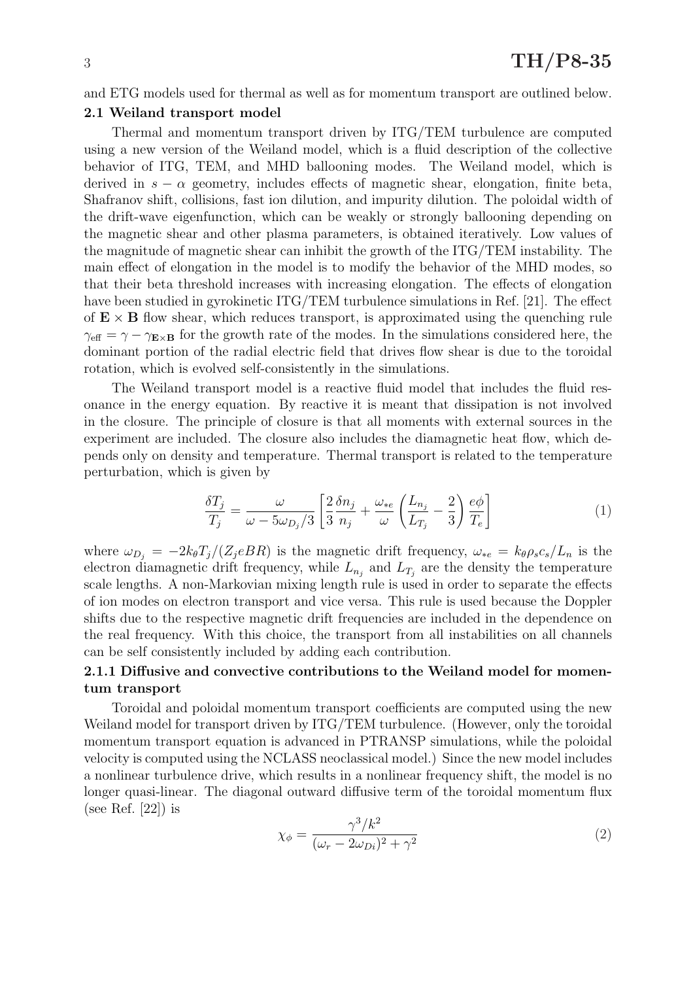and ETG models used for thermal as well as for momentum transport are outlined below.

### 2.1 Weiland transport model

Thermal and momentum transport driven by ITG/TEM turbulence are computed using a new version of the Weiland model, which is a fluid description of the collective behavior of ITG, TEM, and MHD ballooning modes. The Weiland model, which is derived in  $s - \alpha$  geometry, includes effects of magnetic shear, elongation, finite beta, Shafranov shift, collisions, fast ion dilution, and impurity dilution. The poloidal width of the drift-wave eigenfunction, which can be weakly or strongly ballooning depending on the magnetic shear and other plasma parameters, is obtained iteratively. Low values of the magnitude of magnetic shear can inhibit the growth of the ITG/TEM instability. The main effect of elongation in the model is to modify the behavior of the MHD modes, so that their beta threshold increases with increasing elongation. The effects of elongation have been studied in gyrokinetic ITG/TEM turbulence simulations in Ref. [21]. The effect of  $E \times B$  flow shear, which reduces transport, is approximated using the quenching rule  $\gamma_{\text{eff}} = \gamma - \gamma_{\text{Ex}}$  for the growth rate of the modes. In the simulations considered here, the dominant portion of the radial electric field that drives flow shear is due to the toroidal rotation, which is evolved self-consistently in the simulations.

The Weiland transport model is a reactive fluid model that includes the fluid resonance in the energy equation. By reactive it is meant that dissipation is not involved in the closure. The principle of closure is that all moments with external sources in the experiment are included. The closure also includes the diamagnetic heat flow, which depends only on density and temperature. Thermal transport is related to the temperature perturbation, which is given by

$$
\frac{\delta T_j}{T_j} = \frac{\omega}{\omega - 5\omega_{D_j}/3} \left[ \frac{2}{3} \frac{\delta n_j}{n_j} + \frac{\omega_{*e}}{\omega} \left( \frac{L_{n_j}}{L_{T_j}} - \frac{2}{3} \right) \frac{e\phi}{T_e} \right]
$$
(1)

where  $\omega_{D_j} = -2k_{\theta}T_j/(Z_jeBR)$  is the magnetic drift frequency,  $\omega_{*e} = k_{\theta}\rho_s c_s/L_n$  is the electron diamagnetic drift frequency, while  $L_{n_j}$  and  $L_{T_j}$  are the density the temperature scale lengths. A non-Markovian mixing length rule is used in order to separate the effects of ion modes on electron transport and vice versa. This rule is used because the Doppler shifts due to the respective magnetic drift frequencies are included in the dependence on the real frequency. With this choice, the transport from all instabilities on all channels can be self consistently included by adding each contribution.

## 2.1.1 Diffusive and convective contributions to the Weiland model for momentum transport

Toroidal and poloidal momentum transport coefficients are computed using the new Weiland model for transport driven by ITG/TEM turbulence. (However, only the toroidal momentum transport equation is advanced in PTRANSP simulations, while the poloidal velocity is computed using the NCLASS neoclassical model.) Since the new model includes a nonlinear turbulence drive, which results in a nonlinear frequency shift, the model is no longer quasi-linear. The diagonal outward diffusive term of the toroidal momentum flux (see Ref.  $[22]$ ) is

$$
\chi_{\phi} = \frac{\gamma^3 / k^2}{(\omega_r - 2\omega_{Di})^2 + \gamma^2} \tag{2}
$$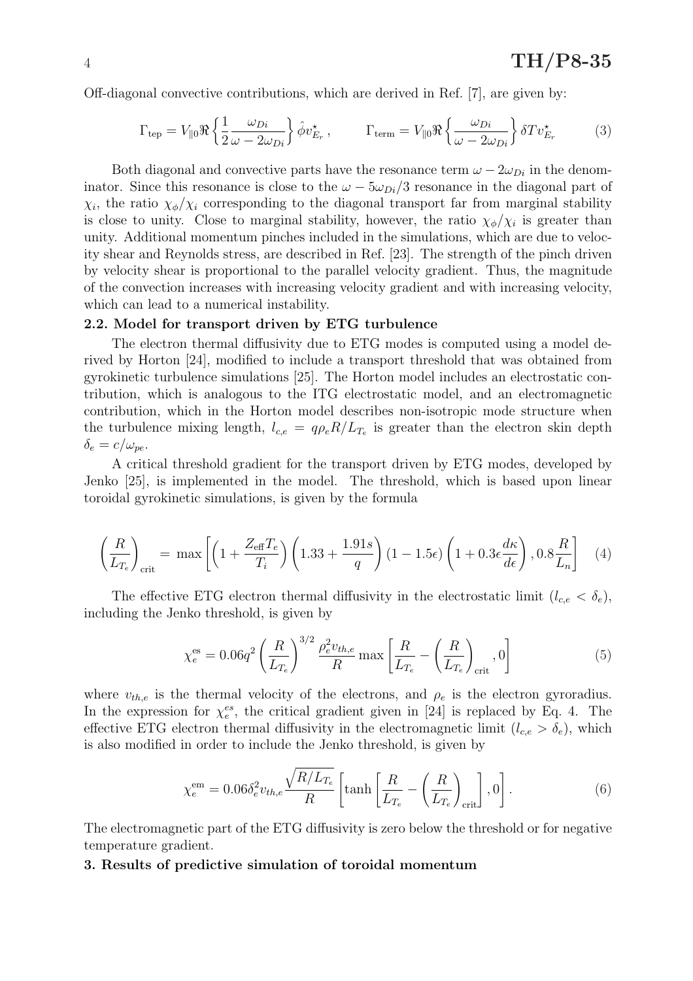Off-diagonal convective contributions, which are derived in Ref. [7], are given by:

$$
\Gamma_{\text{tep}} = V_{\parallel 0} \Re \left\{ \frac{1}{2} \frac{\omega_{Di}}{\omega - 2\omega_{Di}} \right\} \hat{\phi} v_{E_r}^{\star} , \qquad \Gamma_{\text{term}} = V_{\parallel 0} \Re \left\{ \frac{\omega_{Di}}{\omega - 2\omega_{Di}} \right\} \delta T v_{E_r}^{\star} \tag{3}
$$

Both diagonal and convective parts have the resonance term  $\omega - 2\omega_{Di}$  in the denominator. Since this resonance is close to the  $\omega - 5\omega_{Di}/3$  resonance in the diagonal part of  $\chi_i$ , the ratio  $\chi_{\phi}/\chi_i$  corresponding to the diagonal transport far from marginal stability is close to unity. Close to marginal stability, however, the ratio  $\chi_{\phi}/\chi_i$  is greater than unity. Additional momentum pinches included in the simulations, which are due to velocity shear and Reynolds stress, are described in Ref. [23]. The strength of the pinch driven by velocity shear is proportional to the parallel velocity gradient. Thus, the magnitude of the convection increases with increasing velocity gradient and with increasing velocity, which can lead to a numerical instability.

### 2.2. Model for transport driven by ETG turbulence

The electron thermal diffusivity due to ETG modes is computed using a model derived by Horton [24], modified to include a transport threshold that was obtained from gyrokinetic turbulence simulations [25]. The Horton model includes an electrostatic contribution, which is analogous to the ITG electrostatic model, and an electromagnetic contribution, which in the Horton model describes non-isotropic mode structure when the turbulence mixing length,  $l_{c,e} = q \rho_e R / L_{T_e}$  is greater than the electron skin depth  $\delta_e = c/\omega_{pe}.$ 

A critical threshold gradient for the transport driven by ETG modes, developed by Jenko [25], is implemented in the model. The threshold, which is based upon linear toroidal gyrokinetic simulations, is given by the formula

$$
\left(\frac{R}{L_{T_e}}\right)_{\text{crit}} = \max\left[ \left(1 + \frac{Z_{\text{eff}}T_e}{T_i}\right) \left(1.33 + \frac{1.91s}{q}\right) (1 - 1.5\epsilon) \left(1 + 0.3\epsilon \frac{d\kappa}{d\epsilon}\right), 0.8\frac{R}{L_n} \right] \tag{4}
$$

The effective ETG electron thermal diffusivity in the electrostatic limit  $(l_{c,e} < \delta_e)$ , including the Jenko threshold, is given by

$$
\chi_e^{\text{es}} = 0.06q^2 \left(\frac{R}{L_{T_e}}\right)^{3/2} \frac{\rho_e^2 v_{th,e}}{R} \max\left[\frac{R}{L_{T_e}} - \left(\frac{R}{L_{T_e}}\right)_{\text{crit}}, 0\right]
$$
(5)

where  $v_{th,e}$  is the thermal velocity of the electrons, and  $\rho_e$  is the electron gyroradius. In the expression for  $\chi_e^{es}$ , the critical gradient given in [24] is replaced by Eq. 4. The effective ETG electron thermal diffusivity in the electromagnetic limit  $(l_{c,e} > \delta_e)$ , which is also modified in order to include the Jenko threshold, is given by

$$
\chi_e^{\rm em} = 0.06 \delta_e^2 v_{th,e} \frac{\sqrt{R/L_{T_e}}}{R} \left[ \tanh \left[ \frac{R}{L_{T_e}} - \left( \frac{R}{L_{T_e}} \right)_{\text{crit}} \right], 0 \right]. \tag{6}
$$

The electromagnetic part of the ETG diffusivity is zero below the threshold or for negative temperature gradient.

#### 3. Results of predictive simulation of toroidal momentum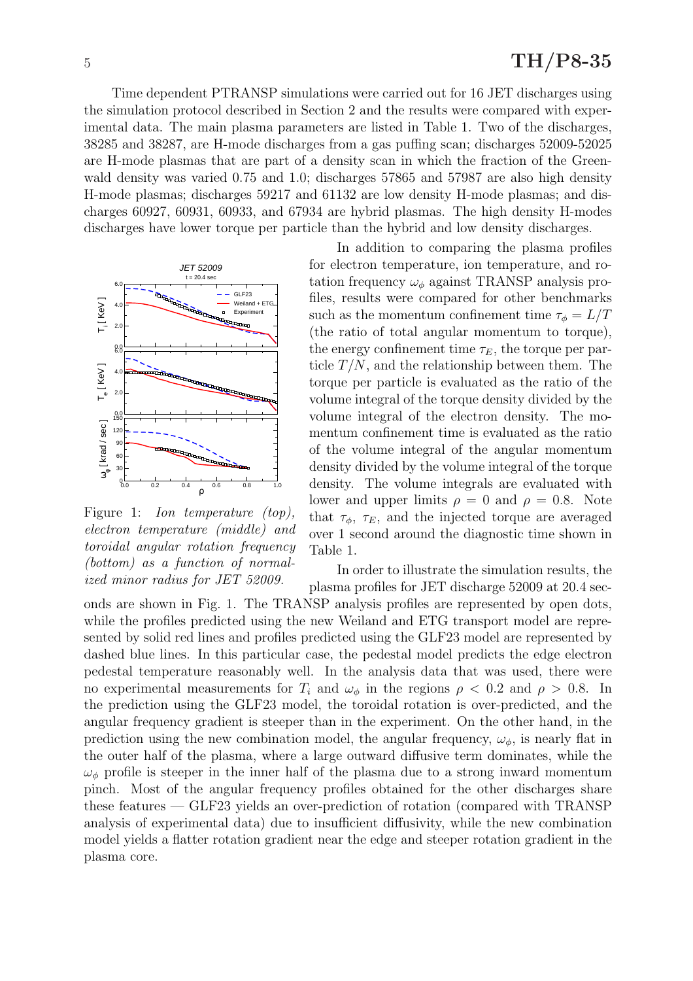Time dependent PTRANSP simulations were carried out for 16 JET discharges using the simulation protocol described in Section 2 and the results were compared with experimental data. The main plasma parameters are listed in Table 1. Two of the discharges, 38285 and 38287, are H-mode discharges from a gas puffing scan; discharges 52009-52025 are H-mode plasmas that are part of a density scan in which the fraction of the Greenwald density was varied 0.75 and 1.0; discharges 57865 and 57987 are also high density H-mode plasmas; discharges 59217 and 61132 are low density H-mode plasmas; and discharges 60927, 60931, 60933, and 67934 are hybrid plasmas. The high density H-modes discharges have lower torque per particle than the hybrid and low density discharges.



Figure 1: *Ion temperature (top)*, electron temperature (middle) and toroidal angular rotation frequency (bottom) as a function of normalized minor radius for JET 52009.

In addition to comparing the plasma profiles for electron temperature, ion temperature, and rotation frequency  $\omega_{\phi}$  against TRANSP analysis profiles, results were compared for other benchmarks such as the momentum confinement time  $\tau_{\phi} = L/T$ (the ratio of total angular momentum to torque), the energy confinement time  $\tau_E$ , the torque per particle  $T/N$ , and the relationship between them. The torque per particle is evaluated as the ratio of the volume integral of the torque density divided by the volume integral of the electron density. The momentum confinement time is evaluated as the ratio of the volume integral of the angular momentum density divided by the volume integral of the torque density. The volume integrals are evaluated with lower and upper limits  $\rho = 0$  and  $\rho = 0.8$ . Note that  $\tau_{\phi}$ ,  $\tau_{E}$ , and the injected torque are averaged over 1 second around the diagnostic time shown in Table 1.

In order to illustrate the simulation results, the plasma profiles for JET discharge 52009 at 20.4 sec-

onds are shown in Fig. 1. The TRANSP analysis profiles are represented by open dots, while the profiles predicted using the new Weiland and ETG transport model are represented by solid red lines and profiles predicted using the GLF23 model are represented by dashed blue lines. In this particular case, the pedestal model predicts the edge electron pedestal temperature reasonably well. In the analysis data that was used, there were no experimental measurements for  $T_i$  and  $\omega_\phi$  in the regions  $\rho < 0.2$  and  $\rho > 0.8$ . In the prediction using the GLF23 model, the toroidal rotation is over-predicted, and the angular frequency gradient is steeper than in the experiment. On the other hand, in the prediction using the new combination model, the angular frequency,  $\omega_{\phi}$ , is nearly flat in the outer half of the plasma, where a large outward diffusive term dominates, while the  $\omega_{\phi}$  profile is steeper in the inner half of the plasma due to a strong inward momentum pinch. Most of the angular frequency profiles obtained for the other discharges share these features — GLF23 yields an over-prediction of rotation (compared with TRANSP analysis of experimental data) due to insufficient diffusivity, while the new combination model yields a flatter rotation gradient near the edge and steeper rotation gradient in the plasma core.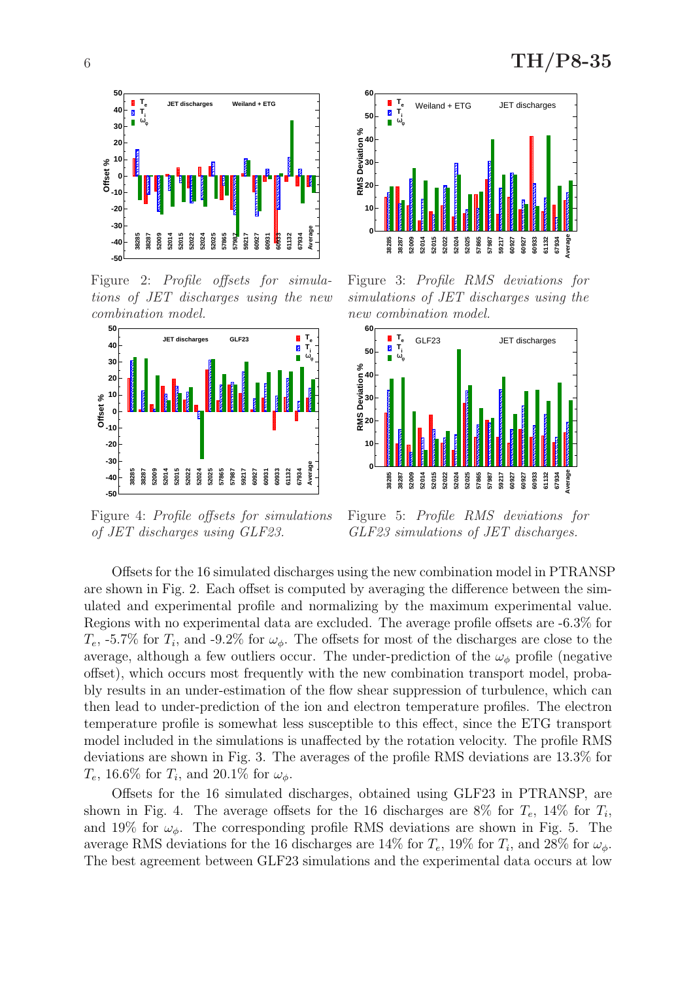

Figure 2: Profile offsets for simulations of JET discharges using the new combination model.



Figure 4: Profile offsets for simulations of JET discharges using GLF23.



Figure 3: Profile RMS deviations for simulations of JET discharges using the new combination model.



Figure 5: Profile RMS deviations for GLF23 simulations of JET discharges.

Offsets for the 16 simulated discharges using the new combination model in PTRANSP are shown in Fig. 2. Each offset is computed by averaging the difference between the simulated and experimental profile and normalizing by the maximum experimental value. Regions with no experimental data are excluded. The average profile offsets are -6.3% for  $T_e$ , -5.7% for  $T_i$ , and -9.2% for  $\omega_{\phi}$ . The offsets for most of the discharges are close to the average, although a few outliers occur. The under-prediction of the  $\omega_{\phi}$  profile (negative offset), which occurs most frequently with the new combination transport model, probably results in an under-estimation of the flow shear suppression of turbulence, which can then lead to under-prediction of the ion and electron temperature profiles. The electron temperature profile is somewhat less susceptible to this effect, since the ETG transport model included in the simulations is unaffected by the rotation velocity. The profile RMS deviations are shown in Fig. 3. The averages of the profile RMS deviations are 13.3% for  $T_e$ , 16.6% for  $T_i$ , and 20.1% for  $\omega_{\phi}$ .

Offsets for the 16 simulated discharges, obtained using GLF23 in PTRANSP, are shown in Fig. 4. The average offsets for the 16 discharges are 8% for  $T_e$ , 14% for  $T_i$ , and 19% for  $\omega_{\phi}$ . The corresponding profile RMS deviations are shown in Fig. 5. The average RMS deviations for the 16 discharges are 14% for  $T_e$ , 19% for  $T_i$ , and 28% for  $\omega_{\phi}$ . The best agreement between GLF23 simulations and the experimental data occurs at low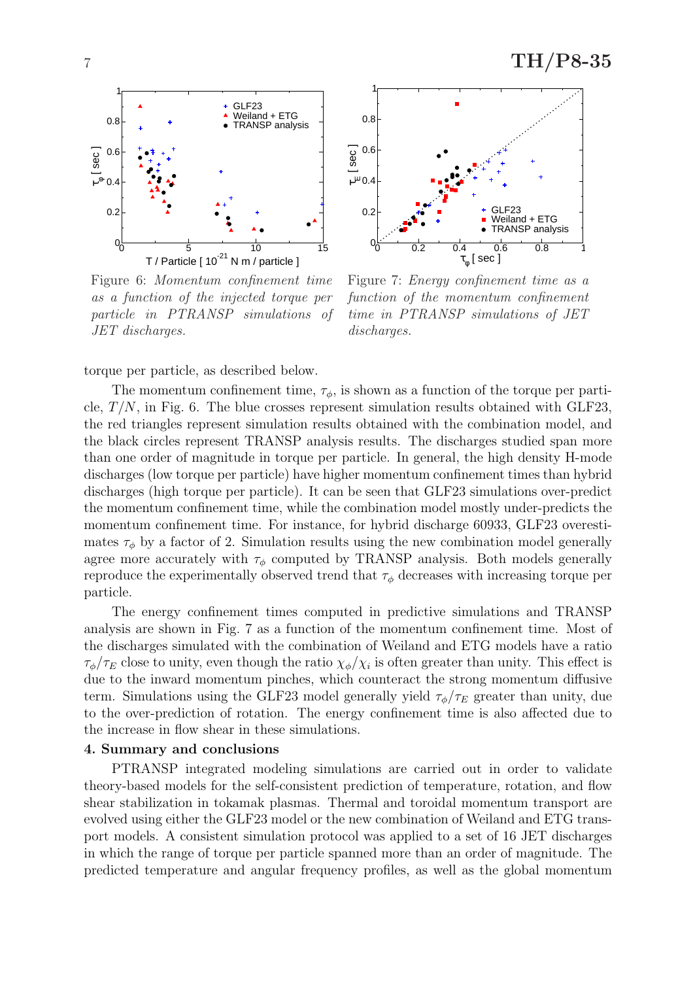

Figure 6: Momentum confinement time as a function of the injected torque per particle in PTRANSP simulations of JET discharges.



Figure 7: Energy confinement time as a function of the momentum confinement time in PTRANSP simulations of JET discharges.

torque per particle, as described below.

The momentum confinement time,  $\tau_{\phi}$ , is shown as a function of the torque per particle,  $T/N$ , in Fig. 6. The blue crosses represent simulation results obtained with GLF23, the red triangles represent simulation results obtained with the combination model, and the black circles represent TRANSP analysis results. The discharges studied span more than one order of magnitude in torque per particle. In general, the high density H-mode discharges (low torque per particle) have higher momentum confinement times than hybrid discharges (high torque per particle). It can be seen that GLF23 simulations over-predict the momentum confinement time, while the combination model mostly under-predicts the momentum confinement time. For instance, for hybrid discharge 60933, GLF23 overestimates  $\tau_{\phi}$  by a factor of 2. Simulation results using the new combination model generally agree more accurately with  $\tau_{\phi}$  computed by TRANSP analysis. Both models generally reproduce the experimentally observed trend that  $\tau_{\phi}$  decreases with increasing torque per particle.

The energy confinement times computed in predictive simulations and TRANSP analysis are shown in Fig. 7 as a function of the momentum confinement time. Most of the discharges simulated with the combination of Weiland and ETG models have a ratio  $\tau_{\phi}/\tau_E$  close to unity, even though the ratio  $\chi_{\phi}/\chi_i$  is often greater than unity. This effect is due to the inward momentum pinches, which counteract the strong momentum diffusive term. Simulations using the GLF23 model generally yield  $\tau_{\phi}/\tau_{E}$  greater than unity, due to the over-prediction of rotation. The energy confinement time is also affected due to the increase in flow shear in these simulations.

### 4. Summary and conclusions

PTRANSP integrated modeling simulations are carried out in order to validate theory-based models for the self-consistent prediction of temperature, rotation, and flow shear stabilization in tokamak plasmas. Thermal and toroidal momentum transport are evolved using either the GLF23 model or the new combination of Weiland and ETG transport models. A consistent simulation protocol was applied to a set of 16 JET discharges in which the range of torque per particle spanned more than an order of magnitude. The predicted temperature and angular frequency profiles, as well as the global momentum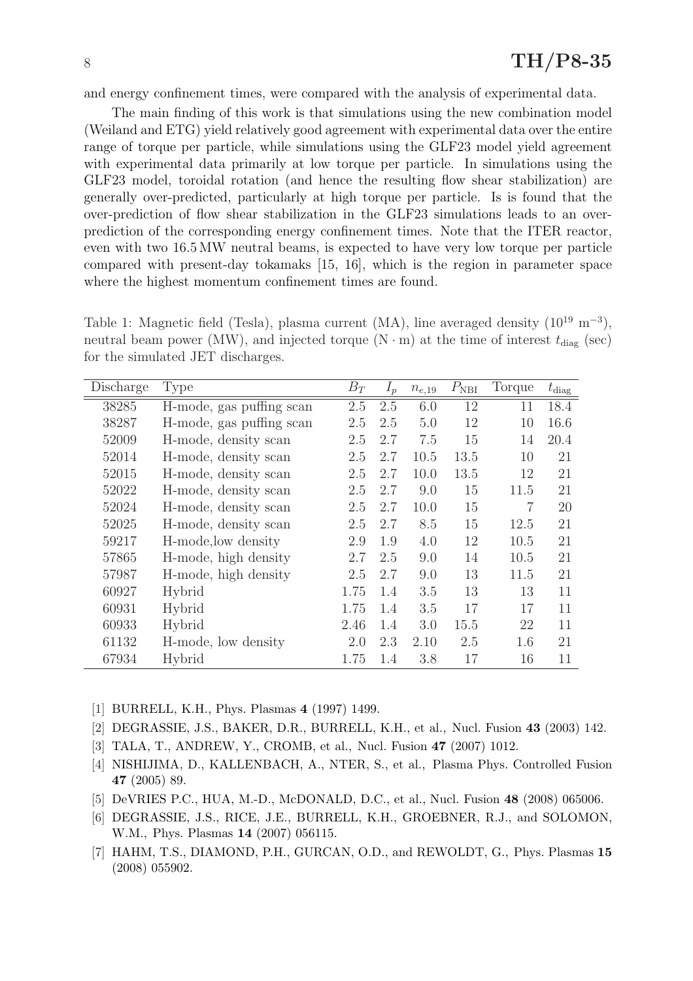## $8 \text{ TH/P}8-35$

and energy confinement times, were compared with the analysis of experimental data.

The main finding of this work is that simulations using the new combination model (Weiland and ETG) yield relatively good agreement with experimental data over the entire range of torque per particle, while simulations using the GLF23 model yield agreement with experimental data primarily at low torque per particle. In simulations using the GLF23 model, toroidal rotation (and hence the resulting flow shear stabilization) are generally over-predicted, particularly at high torque per particle. Is is found that the over-prediction of flow shear stabilization in the GLF23 simulations leads to an overprediction of the corresponding energy confinement times. Note that the ITER reactor, even with two 16.5 MW neutral beams, is expected to have very low torque per particle compared with present-day tokamaks [15, 16], which is the region in parameter space where the highest momentum confinement times are found.

Table 1: Magnetic field (Tesla), plasma current (MA), line averaged density  $(10^{19} \text{ m}^{-3})$ , neutral beam power (MW), and injected torque (N  $\cdot$  m) at the time of interest  $t_{\text{diag}}$  (sec) for the simulated JET discharges.

| Discharge | <b>Type</b>              | $B_T$ | $I_p$ | $n_{e,19}$ | $P_{\rm NBI}$ | Torque         | $t_{\rm diag}$ |
|-----------|--------------------------|-------|-------|------------|---------------|----------------|----------------|
| 38285     | H-mode, gas puffing scan | 2.5   | 2.5   | 6.0        | 12            | 11             | 18.4           |
| 38287     | H-mode, gas puffing scan | 2.5   | 2.5   | 5.0        | 12            | 10             | 16.6           |
| 52009     | H-mode, density scan     | 2.5   | 2.7   | 7.5        | 15            | 14             | 20.4           |
| 52014     | H-mode, density scan     | 2.5   | 2.7   | 10.5       | 13.5          | 10             | 21             |
| 52015     | H-mode, density scan     | 2.5   | 2.7   | 10.0       | 13.5          | 12             | 21             |
| 52022     | H-mode, density scan     | 2.5   | 2.7   | 9.0        | 15            | 11.5           | 21             |
| 52024     | H-mode, density scan     | 2.5   | 2.7   | 10.0       | 15            | $\overline{7}$ | 20             |
| 52025     | H-mode, density scan     | 2.5   | 2.7   | 8.5        | 15            | 12.5           | 21             |
| 59217     | H-mode, low density      | 2.9   | 1.9   | 4.0        | 12            | 10.5           | 21             |
| 57865     | H-mode, high density     | 2.7   | 2.5   | 9.0        | 14            | 10.5           | 21             |
| 57987     | H-mode, high density     | 2.5   | 2.7   | 9.0        | 13            | 11.5           | 21             |
| 60927     | Hybrid                   | 1.75  | 1.4   | 3.5        | 13            | 13             | 11             |
| 60931     | Hybrid                   | 1.75  | 1.4   | 3.5        | 17            | 17             | 11             |
| 60933     | Hybrid                   | 2.46  | 1.4   | 3.0        | 15.5          | 22             | 11             |
| 61132     | H-mode, low density      | 2.0   | 2.3   | 2.10       | 2.5           | 1.6            | 21             |
| 67934     | Hybrid                   | 1.75  | 1.4   | 3.8        | 17            | 16             | 11             |

[1] BURRELL, K.H., Phys. Plasmas 4 (1997) 1499.

- [2] DEGRASSIE, J.S., BAKER, D.R., BURRELL, K.H., et al., Nucl. Fusion 43 (2003) 142.
- [3] TALA, T., ANDREW, Y., CROMB, et al., Nucl. Fusion 47 (2007) 1012.
- [4] NISHIJIMA, D., KALLENBACH, A., NTER, S., et al., Plasma Phys. Controlled Fusion 47 (2005) 89.
- [5] DeVRIES P.C., HUA, M.-D., McDONALD, D.C., et al., Nucl. Fusion 48 (2008) 065006.
- [6] DEGRASSIE, J.S., RICE, J.E., BURRELL, K.H., GROEBNER, R.J., and SOLOMON, W.M., Phys. Plasmas 14 (2007) 056115.
- [7] HAHM, T.S., DIAMOND, P.H., GURCAN, O.D., and REWOLDT, G., Phys. Plasmas 15 (2008) 055902.